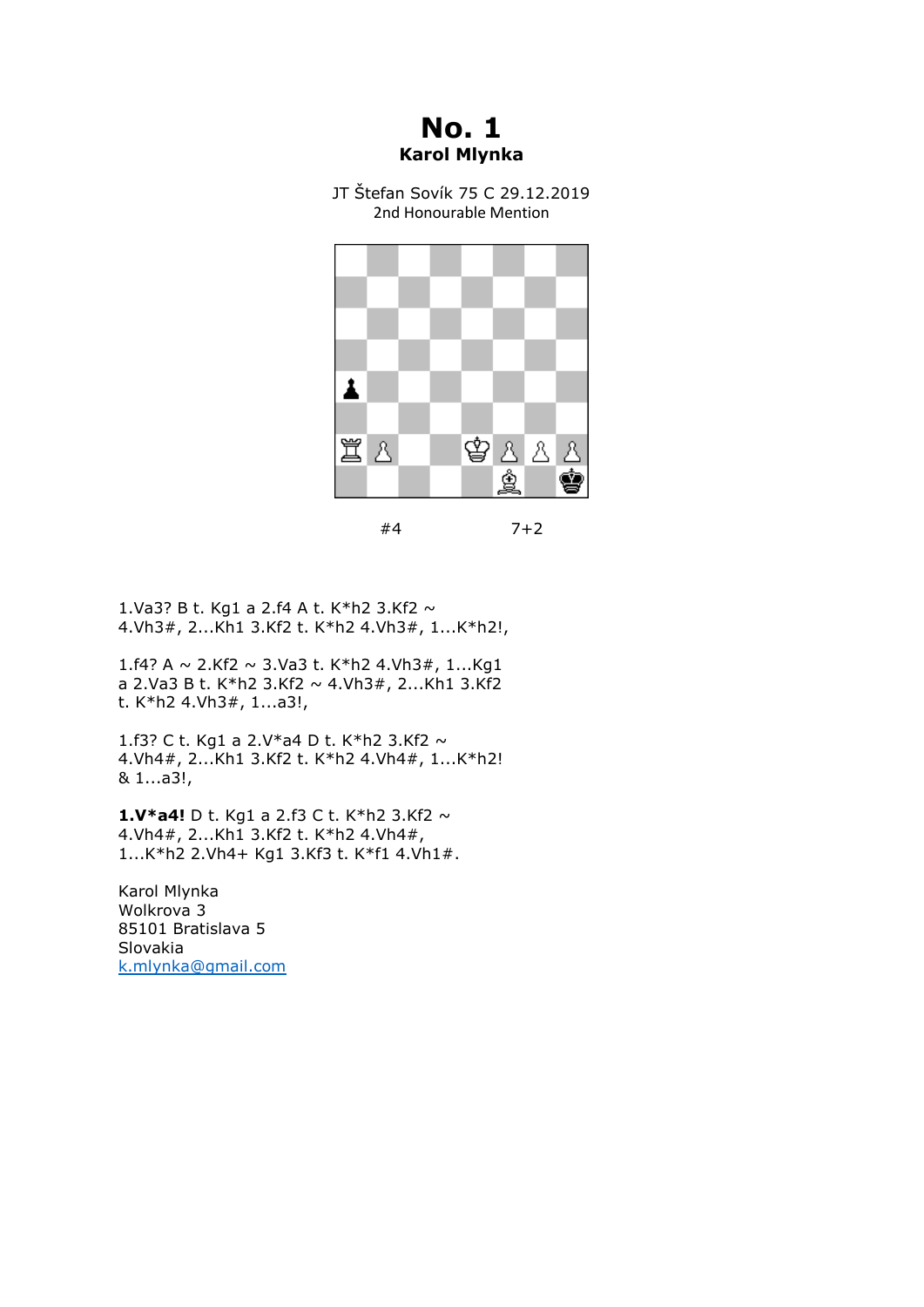**No. 1 Karol Mlynka**

JT Štefan Sovík 75 C 29.12.2019 2nd Honourable Mention



<sup>#4 7+2</sup>

1.Va3? B t. Kg1 a 2.f4 A t. K\*h2 3.Kf2 ~ 4.Vh3#, 2...Kh1 3.Kf2 t. K\*h2 4.Vh3#, 1...K\*h2!,

1.f4? A ~ 2.Kf2 ~ 3.Va3 t. K\*h2 4.Vh3#, 1...Kg1 a 2.Va3 B t. K\*h2 3.Kf2  $\sim$  4.Vh3#, 2...Kh1 3.Kf2 t. K\*h2 4.Vh3#, 1...a3!,

1.f3? C t. Kg1 a 2.V\*a4 D t. K\*h2 3.Kf2 ~ 4.Vh4#, 2...Kh1 3.Kf2 t. K\*h2 4.Vh4#, 1...K\*h2! & 1...a3!,

**1.V\*a4!** D t. Kg1 a 2.f3 C t. K\*h2 3.Kf2 ~ 4.Vh4#, 2...Kh1 3.Kf2 t. K\*h2 4.Vh4#, 1...K\*h2 2.Vh4+ Kg1 3.Kf3 t. K\*f1 4.Vh1#.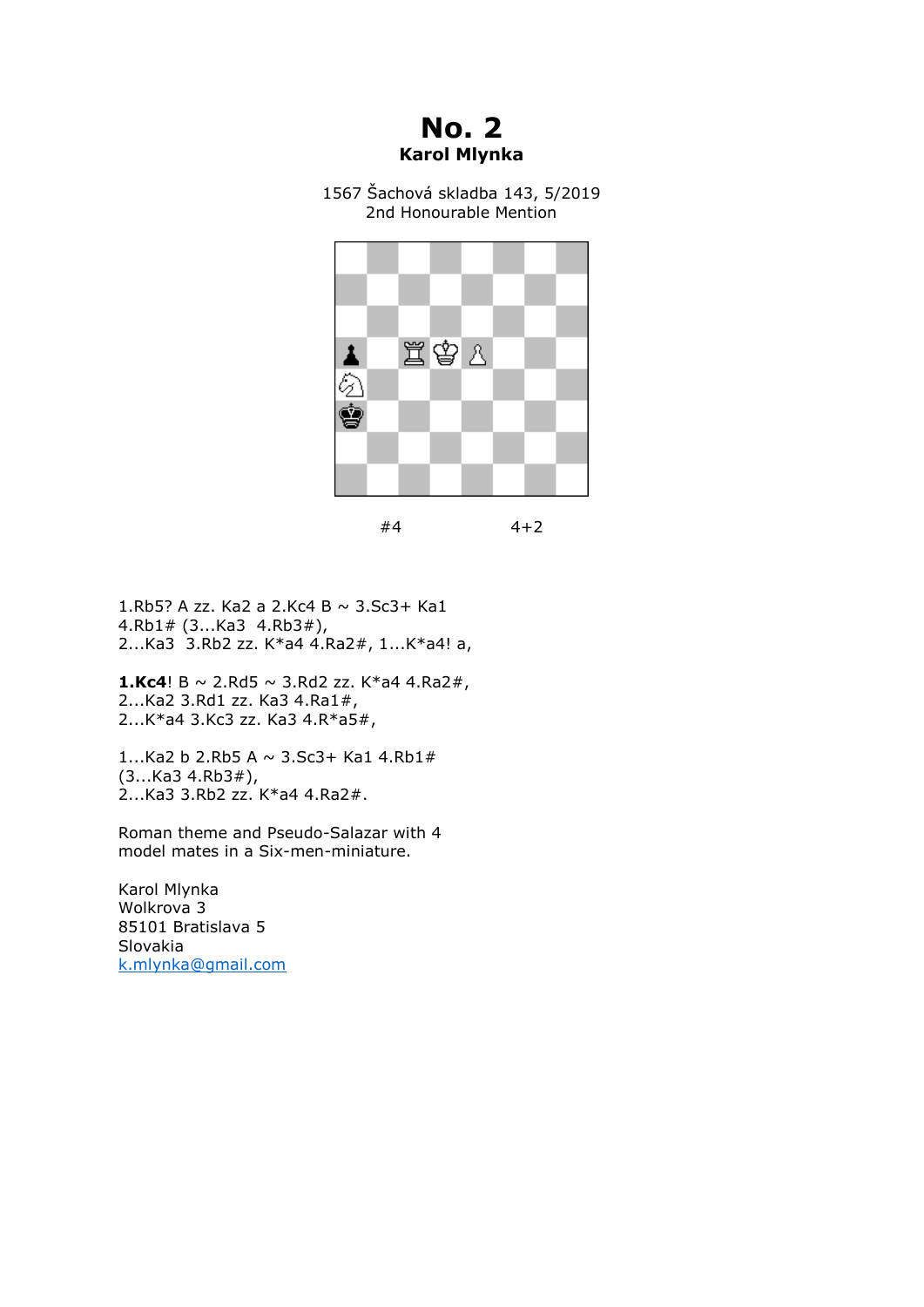## **No. 2 Karol Mlynka**

1567 Šachová skladba 143, 5/2019 2nd Honourable Mention



| #4 | $4 + 2$ |
|----|---------|
|----|---------|

1.Rb5? A zz. Ka2 a 2.Kc4 B ~ 3.Sc3+ Ka1 4.Rb1# (3...Ka3 4.Rb3#), 2...Ka3 3.Rb2 zz. K\*a4 4.Ra2#, 1...K\*a4! a,

**1.Kc4**! B  $\sim$  2.Rd5  $\sim$  3.Rd2 zz. K\*a4 4.Ra2#, 2...Ka2 3.Rd1 zz. Ka3 4.Ra1#, 2...K\*a4 3.Kc3 zz. Ka3 4.R\*a5#,

1...Ka2 b 2.Rb5 A  $\sim$  3.Sc3+ Ka1 4.Rb1# (3...Ka3 4.Rb3#), 2...Ka3 3.Rb2 zz. K\*a4 4.Ra2#.

Roman theme and Pseudo-Salazar with 4 model mates in a Six-men-miniature.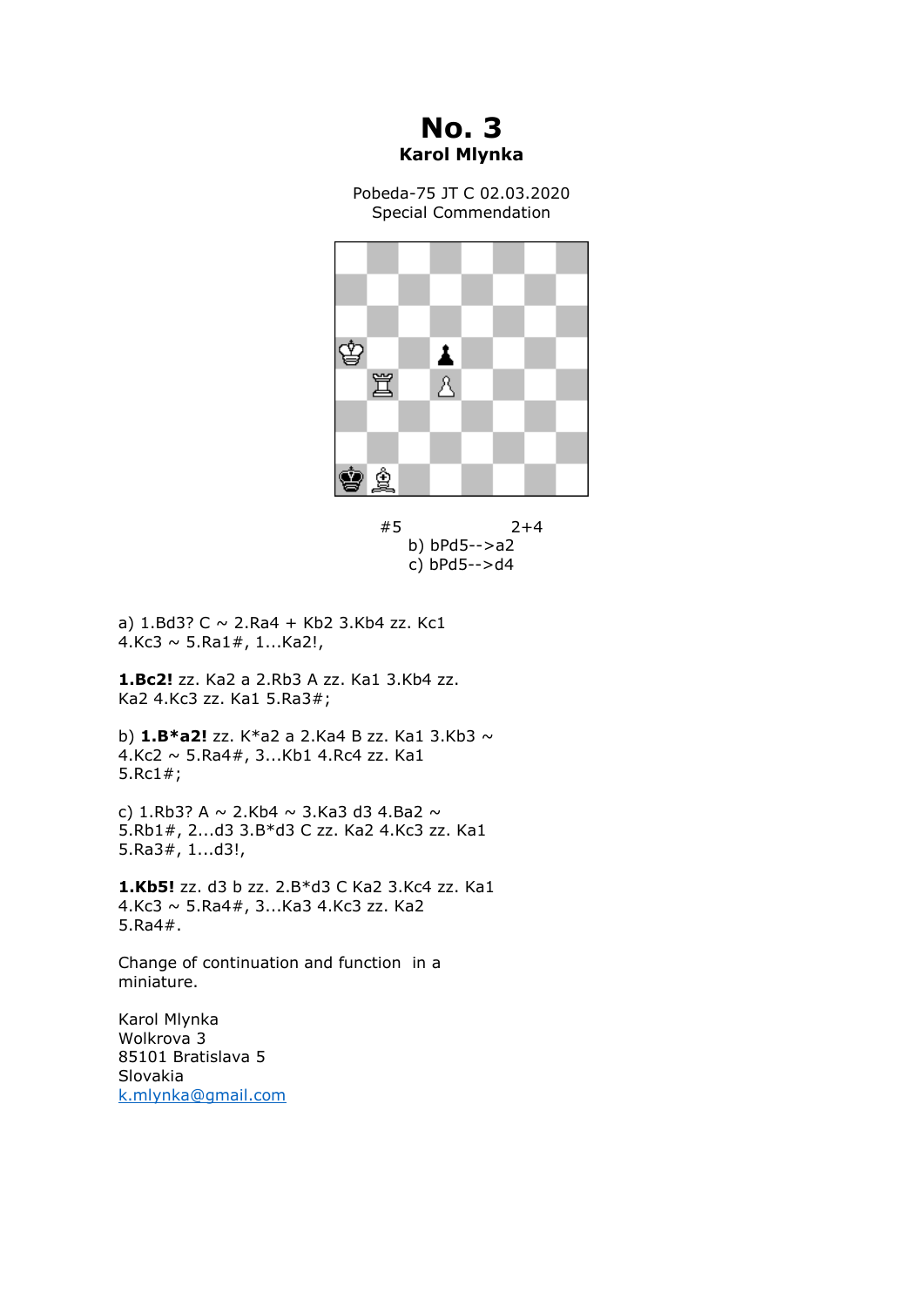**No. 3 Karol Mlynka**

Pobeda-75 JT C 02.03.2020 Special Commendation





a)  $1.Bd3? C \sim 2.Ra4 + Kb2 3.Kb4 zz. Kc1$ 4.Kc3  $\sim$  5.Ra1#, 1...Ka2!,

**1.Bc2!** zz. Ka2 a 2.Rb3 A zz. Ka1 3.Kb4 zz. Ka2 4.Kc3 zz. Ka1 5.Ra3#;

b) **1.B\*a2!** zz. K\*a2 a 2.Ka4 B zz. Ka1 3.Kb3 ~ 4.Kc2 ~ 5.Ra4#, 3...Kb1 4.Rc4 zz. Ka1 5.Rc1#;

c) 1.Rb3? A  $\sim$  2.Kb4  $\sim$  3.Ka3 d3 4.Ba2  $\sim$ 5.Rb1#, 2...d3 3.B\*d3 C zz. Ka2 4.Kc3 zz. Ka1 5.Ra3#, 1...d3!,

**1.Kb5!** zz. d3 b zz. 2.B\*d3 C Ka2 3.Kc4 zz. Ka1 4.Kc3 ~ 5.Ra4#, 3...Ka3 4.Kc3 zz. Ka2 5.Ra4#.

Change of continuation and function in a miniature.